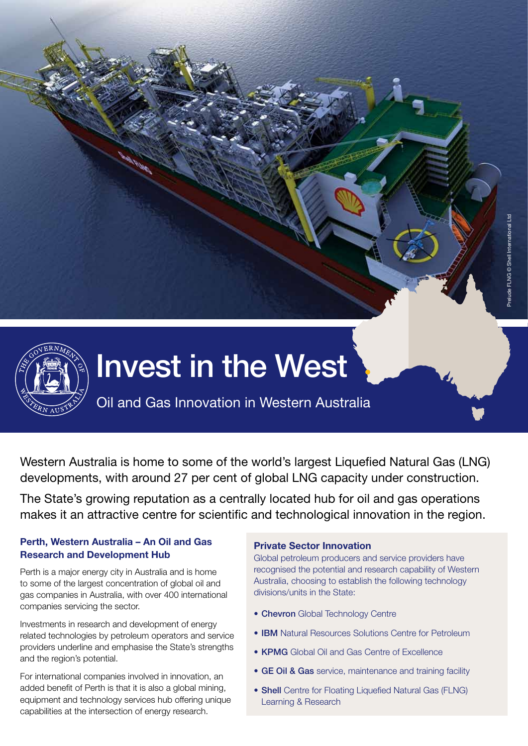

Western Australia is home to some of the world's largest Liquefied Natural Gas (LNG) developments, with around 27 per cent of global LNG capacity under construction.

The State's growing reputation as a centrally located hub for oil and gas operations makes it an attractive centre for scientific and technological innovation in the region.

# **Perth, Western Australia – An Oil and Gas Research and Development Hub**

Perth is a major energy city in Australia and is home to some of the largest concentration of global oil and gas companies in Australia, with over 400 international companies servicing the sector.

Investments in research and development of energy related technologies by petroleum operators and service providers underline and emphasise the State's strengths and the region's potential.

For international companies involved in innovation, an added benefit of Perth is that it is also a global mining, equipment and technology services hub offering unique capabilities at the intersection of energy research.

### **Private Sector Innovation**

Global petroleum producers and service providers have recognised the potential and research capability of Western Australia, choosing to establish the following technology divisions/units in the State:

- Chevron Global Technology Centre
- **IBM** Natural Resources Solutions Centre for Petroleum
- **KPMG** Global Oil and Gas Centre of Excellence
- GE Oil & Gas service, maintenance and training facility
- Shell Centre for Floating Liquefied Natural Gas (FLNG) Learning & Research